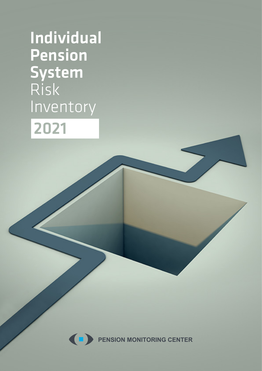Individual Pension System Risk Inventory 2021



**PENSION MONITORING CENTER**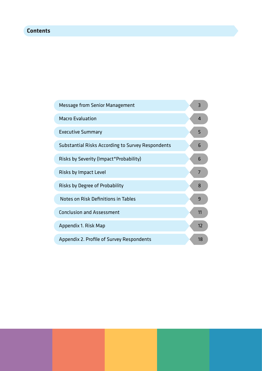# **Contents**

| <b>Message from Senior Management</b>                    | 3              |
|----------------------------------------------------------|----------------|
| <b>Macro Evaluation</b>                                  | $\overline{4}$ |
| <b>Executive Summary</b>                                 | 5              |
| <b>Substantial Risks According to Survey Respondents</b> | 6              |
| Risks by Severity (Impact*Probability)                   | 6              |
| Risks by Impact Level                                    | 7              |
| Risks by Degree of Probability                           | 8              |
| Notes on Risk Definitions in Tables                      | 9              |
| <b>Conclusion and Assessment</b>                         | 11             |
| Appendix 1. Risk Map                                     | 12             |
| Appendix 2. Profile of Survey Respondents                | 18             |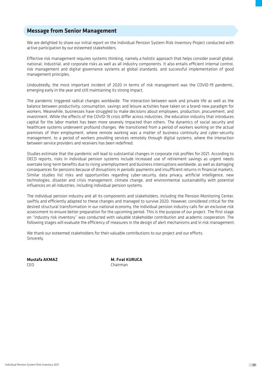## **Message from Senior Management**

We are delighted to share our initial report on the Individual Pension System Risk Inventory Project conducted with active participation by our esteemed stakeholders.

Effective risk management requires systems thinking, namely a holistic approach that helps consider overall global, national, industrial, and corporate risks as well as all industry components. It also entails efficient internal control, risk management and digital governance systems at global standards, and successful implementation of good management principles.

Undoubtedly, the most important incident of 2020 in terms of risk management was the COVID-19 pandemic, emerging early in the year and still maintaining its strong impact.

The pandemic triggered radical changes worldwide. The interaction between work and private life as well as the balance between productivity, consumption, savings and leisure activities have taken on a brand-new paradigm for workers. Meanwhile, businesses have struggled to make decisions about employees, production, procurement, and investment. While the effects of the COVID-19 crisis differ across industries, the education industry that introduces capital for the labor market has been more severely impacted than others. The dynamics of social security and healthcare systems underwent profound changes. We transitioned from a period of workers working on the actual premises of their employment, where remote working was a matter of business continuity and cyber-security management, to a period of workers providing services remotely through digital systems, where the interaction between service providers and receivers has been redefined.

Studies estimate that the pandemic will lead to substantial changes in corporate risk profiles for 2021. According to OECD reports, risks in individual pension systems include increased use of retirement savings as urgent needs overtake long-term benefits due to rising unemployment and business interruptions worldwide, as well as damaging consequences for pensions because of disruptions in periodic payments and insufficient returns in financial markets. Similar studies list risks and opportunities regarding cyber-security, data privacy, artificial intelligence, new technologies, disaster and crisis management, climate change, and environmental sustainability with potential influences on all industries, including individual pension systems.

The individual pension industry and all its components and stakeholders, including the Pension Monitoring Center, swiftly and efficiently adapted to these changes and managed to survive 2020. However, considered critical for the desired structural transformation in our national economy, the individual pension industry calls for an exclusive risk assessment to ensure better preparation for the upcoming period. This is the purpose of our project. The first stage on "industry risk inventory" was conducted with valuable stakeholder contribution and academic cooperation. The following stages will evaluate the efficiency of measures in the design of alert mechanisms and in risk management.

We thank our esteemed stakeholders for their valuable contributions to our project and our efforts. Sincerely,

Mustafa AKMAZ M. Fırat KURUCA CEO Chairman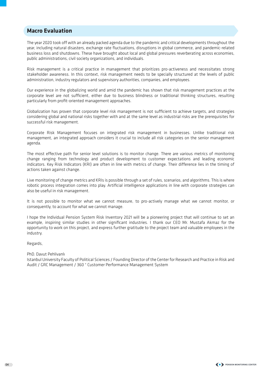## **Macro Evaluation**

The year 2020 took off with an already packed agenda due to the pandemic and critical developments throughout the year, including natural disasters, exchange rate fluctuations, disruptions in global commerce, and pandemic-related business loss and shutdowns. These have brought about local and global pressures reverberating across economies, public administrations, civil society organizations, and individuals.

Risk management is a critical practice in management that prioritizes pro-activeness and necessitates strong stakeholder awareness. In this context, risk management needs to be specially structured at the levels of public administration, industry regulators and supervisory authorities, companies, and employees.

Our experience in the globalizing world and amid the pandemic has shown that risk management practices at the corporate level are not sufficient, either due to business blindness or traditional thinking structures, resulting particularly from profit-oriented management approaches.

Globalization has proven that corporate level risk management is not sufficient to achieve targets, and strategies considering global and national risks together with and at the same level as industrial risks are the prerequisites for successful risk management.

Corporate Risk Management focuses on integrated risk management in businesses. Unlike traditional risk management, an integrated approach considers it crucial to include all risk categories on the senior management agenda.

The most effective path for senior level solutions is to monitor change. There are various metrics of monitoring change ranging from technology and product development to customer expectations and leading economic indicators. Key Risk Indicators (KRI) are often in line with metrics of change. Their difference lies in the timing of actions taken against change.

Live monitoring of change metrics and KRIs is possible through a set of rules, scenarios, and algorithms. This is where robotic process integration comes into play. Artificial intelligence applications in line with corporate strategies can also be useful in risk management.

It is not possible to monitor what we cannot measure, to pro-actively manage what we cannot monitor, or consequently, to account for what we cannot manage.

I hope the Individual Pension System Risk Inventory 2021 will be a pioneering project that will continue to set an example, inspiring similar studies in other significant industries. I thank our CEO Mr. Mustafa Akmaz for the opportunity to work on this project, and express further gratitude to the project team and valuable employees in the industry.

Regards,

PhD. Davut Pehlivanlı

Istanbul University Faculty of Political Sciences / Founding Director of the Center for Research and Practice in Risk and Audit / GRC Management / 360 ° Customer Performance Management System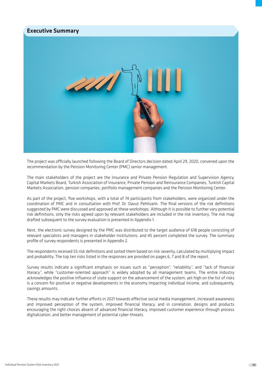

The project was officially launched following the Board of Directors decision dated April 29, 2020, convened upon the recommendation by the Pension Monitoring Center (PMC) senior management.

The main stakeholders of the project are the Insurance and Private Pension Regulation and Supervision Agency, Capital Markets Board, Turkish Association of Insurance, Private Pension and Reinsurance Companies, Turkish Capital Markets Association, pension companies, portfolio management companies and the Pension Monitoring Center.

As part of the project, five workshops, with a total of 74 participants from stakeholders, were organized under the coordination of PMC and in consultation with Prof. Dr. Davut Pehlivanlı. The final versions of the risk definitions suggested by PMC were discussed and approved at these workshops. Although it is possible to further vary potential risk definitions, only the risks agreed upon by relevant stakeholders are included in the risk inventory. The risk map drafted subsequent to the survey evaluation is presented in Appendix 1.

Next, the electronic survey designed by the PMC was distributed to the target audience of 618 people consisting of relevant specialists and managers in stakeholder institutions, and 45 percent completed the survey. The summary profile of survey respondents is presented in Appendix 2.

The respondents received 55 risk definitions and sorted them based on risk severity, calculated by multiplying impact and probability. The top ten risks listed in the responses are provided on pages 6, 7 and 8 of the report.

Survey results indicate a significant emphasis on issues such as "perception", "reliability", and "lack of financial literacy", while "customer-oriented approach" is widely adopted by all management teams. The entire industry acknowledges the positive influence of state support on the advancement of the system, yet high on the list of risks is a concern for positive or negative developments in the economy impacting individual income, and subsequently, savings amounts.

These results may indicate further efforts in 2021 towards effective social media management, increased awareness and improved perception of the system, improved financial literacy, and in correlation, designs and products encouraging the right choices absent of advanced financial literacy, improved customer experience through process digitalization, and better management of potential cyber-threats.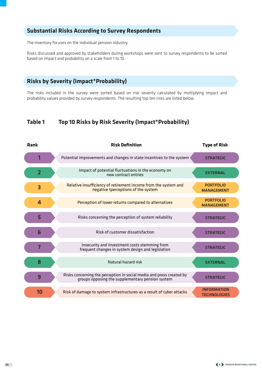# **Substantial Risks According to Survey Respondents**

The inventory focuses on the individual pension industry.

Risks discussed and approved by stakeholders during workshops were sent to survey respondents to be sorted based on impact and probability on a scale from 1 to 10.

## **Risks by Severity (Impact\*Probability)**

The risks included in the survey were sorted based on risk severity calculated by multiplying impact and probability values provided by survey respondents. The resulting top ten risks are listed below.

## **Table 1 Top 10 Risks by Risk Severity (Impact\*Probability)**

| <b>Rank</b>     | <b>Risk Definition</b>                                                                                                   | <b>Type of Risk</b>                       |
|-----------------|--------------------------------------------------------------------------------------------------------------------------|-------------------------------------------|
|                 | Potential improvements and changes in state incentives to the system                                                     | <b>STRATEGIC</b>                          |
| $\overline{2}$  | Impact of potential fluctuations in the economy on<br>new contract entries                                               | <b>EXTERNAL</b>                           |
| 3               | Relative insufficiency of retirement income from the system and<br>negative tperceptions of the system                   | <b>PORTFOLIO</b><br><b>MANAGEMENT</b>     |
| $\overline{4}$  | Perception of lower returns compared to alternatives                                                                     | <b>PORTFOLIO</b><br><b>MANAGEMENT</b>     |
| 5               | Risks concerning the perception of system reliability                                                                    | <b>STRATEGIC</b>                          |
| $6\phantom{1}6$ | Risk of customer dissatisfaction                                                                                         | <b>STRATEGIC</b>                          |
| $\overline{7}$  | Insecurity and investment costs stemming from<br>frequent changes in system design and legislation                       | <b>STRATEGIC</b>                          |
| 8               | Natural hazard risk                                                                                                      | <b>EXTERNAL</b>                           |
| 9               | Risks concerning the perception in social media and press created by<br>groups opposing the supplementary pension system | <b>STRATEGIC</b>                          |
| 10              | Risk of damage to system infrastructures as a result of cyber attacks                                                    | <b>INFORMATION</b><br><b>TECHNOLOGIES</b> |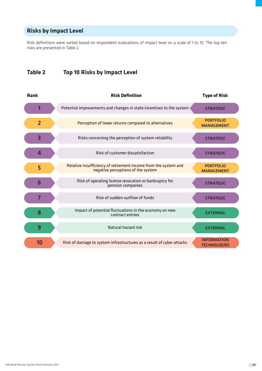# **Risks by Impact Level**

Risk definitions were sorted based on respondent evaluations of impact level on a scale of 1 to 10. The top ten risks are presented in Table 2.

# **Table 2 Top 10 Risks by Impact Level**

| <b>Rank</b>             | <b>Risk Definition</b>                                                                                | <b>Type of Risk</b>                       |
|-------------------------|-------------------------------------------------------------------------------------------------------|-------------------------------------------|
| 1                       | Potential improvements and changes in state incentives to the system                                  | <b>STRATEGIC</b>                          |
| $\overline{2}$          | Perception of lower returns compared to alternatives                                                  | <b>PORTFOLIO</b><br><b>MANAGEMENT</b>     |
| $\overline{\mathbf{3}}$ | Risks concerning the perception of system reliability                                                 | <b>STRATEGIC</b>                          |
| 4                       | Risk of customer dissatisfaction                                                                      | <b>STRATEGIC</b>                          |
| 5                       | Relative insufficiency of retirement income from the system and<br>negative perceptions of the system | <b>PORTFOLIO</b><br><b>MANAGEMENT</b>     |
| 6                       | Risk of operating license revocation or bankruptcy for<br>pension companies                           | <b>STRATEGIC</b>                          |
| $\overline{7}$          | Risk of sudden outflow of funds                                                                       | <b>STRATEGIC</b>                          |
| 8                       | Impact of potential fluctuations in the economy on new<br>contract entries                            | <b>EXTERNAL</b>                           |
| 9                       | Natural hazard risk                                                                                   | <b>EXTERNAL</b>                           |
| 10                      | Risk of damage to system infrastructures as a result of cyber attacks                                 | <b>INFORMATION</b><br><b>TECHNOLOGIES</b> |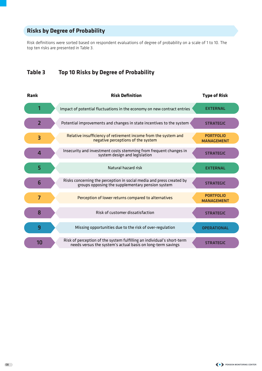# **Risks by Degree of Probability**

Risk definitions were sorted based on respondent evaluations of degree of probability on a scale of 1 to 10. The top ten risks are presented in Table 3.

# **Table 3 Top 10 Risks by Degree of Probability**

| <b>Rank</b>    | <b>Risk Definition</b>                                                                                                                | <b>Type of Risk</b>                   |
|----------------|---------------------------------------------------------------------------------------------------------------------------------------|---------------------------------------|
| 1              | Impact of potential fluctuations in the economy on new contract entries                                                               | <b>EXTERNAL</b>                       |
| $\overline{2}$ | Potential improvements and changes in state incentives to the system                                                                  | <b>STRATEGIC</b>                      |
| 3              | Relative insufficiency of retirement income from the system and<br>negative perceptions of the system                                 | <b>PORTFOLIO</b><br><b>MANAGEMENT</b> |
| 4              | Insecurity and investment costs stemming from frequent changes in<br>system design and legislation                                    | <b>STRATEGIC</b>                      |
| 5              | Natural hazard risk                                                                                                                   | <b>EXTERNAL</b>                       |
| 6              | Risks concerning the perception in social media and press created by<br>groups opposing the supplementary pension system              | <b>STRATEGIC</b>                      |
| $\overline{7}$ | Perception of lower returns compared to alternatives                                                                                  | <b>PORTFOLIO</b><br><b>MANAGEMENT</b> |
| 8              | Risk of customer dissatisfaction                                                                                                      | <b>STRATEGIC</b>                      |
| 9              | Missing opportunities due to the risk of over-regulation                                                                              | <b>OPERATIONAL</b>                    |
| 10             | Risk of perception of the system fulfilling an individual's short-term<br>needs versus the system's actual basis on long-term savings | <b>STRATEGIC</b>                      |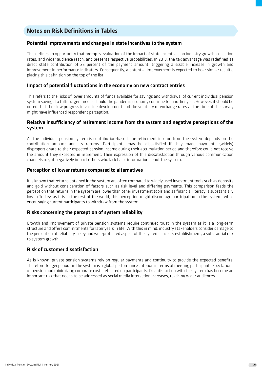## **Notes on Risk Definitions in Tables**

## Potential improvements and changes in state incentives to the system

This defines an opportunity that prompts evaluation of the impact of state incentives on industry growth, collection rates, and wider audience reach, and presents respective probabilities. In 2013, the tax advantage was redefined as direct state contribution of 25 percent of the payment amount, triggering a sizable increase in growth and improvement in performance indicators. Consequently, a potential improvement is expected to bear similar results, placing this definition on the top of the list.

### Impact of potential fluctuations in the economy on new contract entries

This refers to the risks of lower amounts of funds available for savings and withdrawal of current individual pension system savings to fulfill urgent needs should the pandemic economy continue for another year. However, it should be noted that the slow progress in vaccine development and the volatility of exchange rates at the time of the survey might have influenced respondent perception.

## Relative insufficiency of retirement income from the system and negative perceptions of the system

As the individual pension system is contribution-based, the retirement income from the system depends on the contribution amount and its returns. Participants may be dissatisfied if they made payments (widely) disproportionate to their expected pension income during their accumulation period and therefore could not receive the amount they expected in retirement. Their expression of this dissatisfaction through various communication channels might negatively impact others who lack basic information about the system.

## Perception of lower returns compared to alternatives

It is known that returns obtained in the system are often compared to widely used investment tools such as deposits and gold without consideration of factors such as risk level and differing payments. This comparison feeds the perception that returns in the system are lower than other investment tools and as financial literacy is substantially low in Turkey, as it is in the rest of the world, this perception might discourage participation in the system, while encouraging current participants to withdraw from the system.

### Risks concerning the perception of system reliability

Growth and improvement of private pension systems require continued trust in the system as it is a long-term structure and offers commitments for later years in life. With this in mind, industry stakeholders consider damage to the perception of reliability, a key and well-protected aspect of the system since its establishment, a substantial risk to system growth.

### Risk of customer dissatisfaction

As is known, private pension systems rely on regular payments and continuity to provide the expected benefits. Therefore, longer periods in the system is a global performance criterion in terms of meeting participant expectations of pension and minimizing corporate costs reflected on participants. Dissatisfaction with the system has become an important risk that needs to be addressed as social media interaction increases, reaching wider audiences.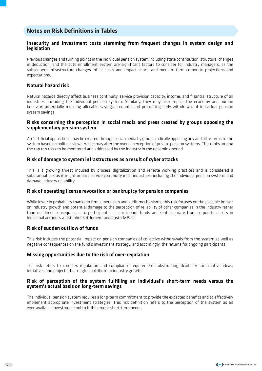## **Notes on Risk Definitions in Tables**

## Insecurity and investment costs stemming from frequent changes in system design and legislation

Previous changes and turning points in the individual pension system including state contribution, structural changes in deduction, and the auto enrollment system are significant factors to consider for industry managers, as the subsequent infrastructure changes inflict costs and impact short- and medium-term corporate projections and expectations.

## Natural hazard risk

Natural hazards directly affect business continuity, service provision capacity, income, and financial structure of all industries, including the individual pension system. Similarly, they may also impact the economy and human behavior, potentially reducing allocable savings amounts and prompting early withdrawal of individual pension system savings.

### Risks concerning the perception in social media and press created by groups opposing the supplementary pension system

An "artificial opposition" may be created through social media by groups radically opposing any and all reforms to the system based on political views, which may alter the overall perception of private pension systems. This ranks among the top ten risks to be monitored and addressed by the industry in the upcoming period.

### Risk of damage to system infrastructures as a result of cyber attacks

This is a growing threat induced by process digitalization and remote working practices and is considered a substantial risk as it might impact service continuity in all industries, including the individual pension system, and damage industry reliability.

### Risk of operating license revocation or bankruptcy for pension companies

While lower in probability thanks to firm supervision and audit mechanisms, this risk focuses on the possible impact on industry growth and potential damage to the perception of reliability of other companies in the industry rather than on direct consequences to participants, as participant funds are kept separate from corporate assets in individual accounts at Istanbul Settlement and Custody Bank.

## Risk of sudden outflow of funds

10

This risk includes the potential impact on pension companies of collective withdrawals from the system as well as negative consequences on the fund's investment strategy, and accordingly, the returns for ongoing participants.

### Missing opportunities due to the risk of over-regulation

The risk refers to complex regulation and compliance requirements obstructing flexibility for creative ideas, initiatives and projects that might contribute to industry growth.

## Risk of perception of the system fulfilling an individual's short-term needs versus the system's actual basis on long-term savings

The individual pension system requires a long-term commitment to provide the expected benefits and to effectively implement appropriate investment strategies. This risk definition refers to the perception of the system as an ever-available investment tool to fulfill urgent short-term needs.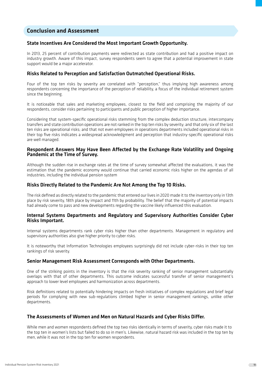## **Conclusion and Assessment**

### State Incentives Are Considered the Most Important Growth Opportunity.

In 2013, 25 percent of contribution payments were redirected as state contribution and had a positive impact on industry growth. Aware of this impact, survey respondents seem to agree that a potential improvement in state support would be a major accelerator.

#### Risks Related to Perception and Satisfaction Outmatched Operational Risks.

Four of the top ten risks by severity are correlated with "perception," thus implying high awareness among respondents concerning the importance of the perception of reliability, a focus of the individual retirement system since the beginning.

It is noticeable that sales and marketing employees, closest to the field and comprising the majority of our respondents, consider risks pertaining to participants and public perception of higher importance.

Considering that system-specific operational risks stemming from the complex deduction structure, intercompany transfers and state contribution operations are not ranked in the top ten risks by severity; and that only six of the last ten risks are operational risks; and that not even employees in operations departments included operational risks in their top five risks indicates a widespread acknowledgment and perception that industry-specific operational risks are well managed.

#### Respondent Answers May Have Been Affected by the Exchange Rate Volatility and Ongoing Pandemic at the Time of Survey.

Although the sudden rise in exchange rates at the time of survey somewhat affected the evaluations, it was the estimation that the pandemic economy would continue that carried economic risks higher on the agendas of all industries, including the individual pension system

#### Risks Directly Related to the Pandemic Are Not Among the Top 10 Risks.

The risk defined as directly related to the pandemic that entered our lives in 2020 made it to the inventory only in 13th place by risk severity, 18th place by impact and 11th by probability. The belief that the majority of potential impacts had already come to pass and new developments regarding the vaccine likely influenced this evaluation.

#### Internal Systems Departments and Regulatory and Supervisory Authorities Consider Cyber Risks Important.

Internal systems departments rank cyber risks higher than other departments. Management in regulatory and supervisory authorities also give higher priority to cyber risks.

It is noteworthy that Information Technologies employees surprisingly did not include cyber-risks in their top ten rankings of risk severity.

#### Senior Management Risk Assessment Corresponds with Other Departments.

One of the striking points in the inventory is that the risk severity ranking of senior management substantially overlaps with that of other departments. This outcome indicates successful transfer of senior management's approach to lower level employees and harmonization across departments.

Risk definitions related to potentially hindering impacts on fresh initiatives of complex regulations and brief legal periods for complying with new sub-regulations climbed higher in senior management rankings, unlike other departments.

### The Assessments of Women and Men on Natural Hazards and Cyber Risks Differ.

While men and women respondents defined the top two risks identically in terms of severity, cyber risks made it to the top ten in women's lists but failed to do so in men's. Likewise, natural hazard risk was included in the top ten by men, while it was not in the top ten for women respondents.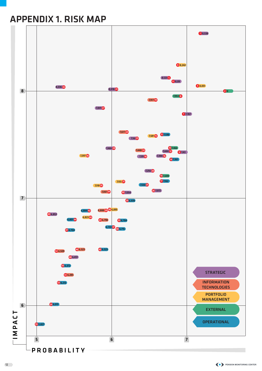# APPENDIX 1. RISK MAP

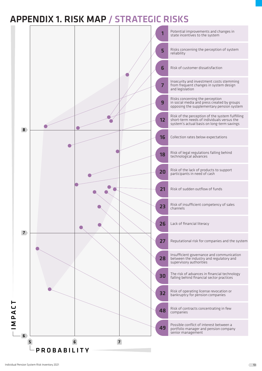# APPENDIX 1. RISK MAP / STRATEGIC RISKS

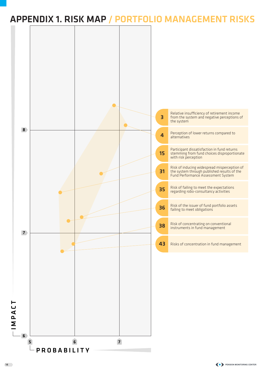# APPENDIX 1. RISK MAP / PORTFOLIO MANAGEMENT RISKS

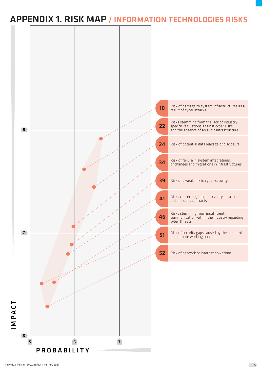# APPENDIX 1. RISK MAP / INFORMATION TECHNOLOGIES RISKS

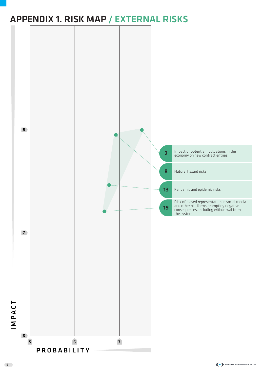# APPENDIX 1. RISK MAP / EXTERNAL RISKS

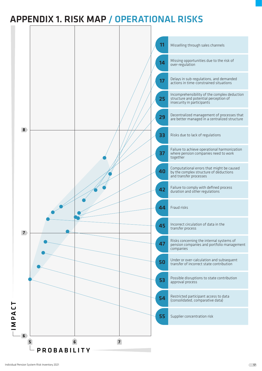# APPENDIX 1. RISK MAP / OPERATIONAL RISKS

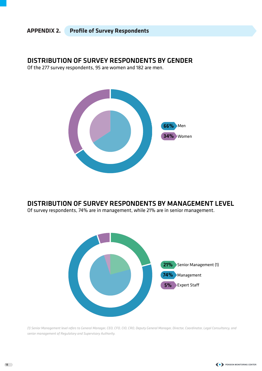## **APPENDIX 2. Profile of Survey Respondents**

## DISTRIBUTION OF SURVEY RESPONDENTS BY GENDER

Of the 277 survey respondents, 95 are women and 182 are men.



## DISTRIBUTION OF SURVEY RESPONDENTS BY MANAGEMENT LEVEL

Of survey respondents, 74% are in management, while 21% are in senior management.



*(1) Senior Management level refers to General Manager, CEO, CFO, CIO, CRO, Deputy General Manager, Director, Coordinator, Legal Consultancy, and senior management of Regulatory and Supervisory Authority.*

18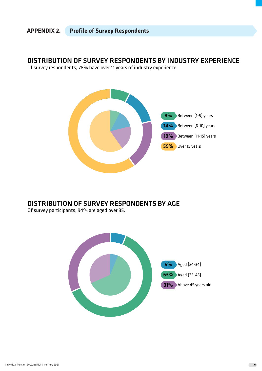## **APPENDIX 2. Profile of Survey Respondents**

DISTRIBUTION OF SURVEY RESPONDENTS BY INDUSTRY EXPERIENCE

Of survey respondents, 78% have over 11 years of industry experience.



# DISTRIBUTION OF SURVEY RESPONDENTS BY AGE

Of survey participants, 94% are aged over 35.

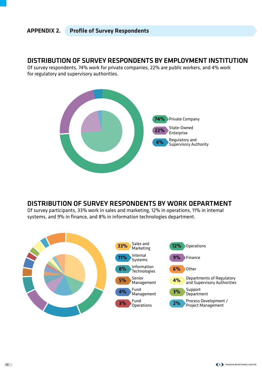# **APPENDIX 2. Profile of Survey Respondents**

## DISTRIBUTION OF SURVEY RESPONDENTS BY EMPLOYMENT INSTITUTION

Of survey respondents, 74% work for private companies, 22% are public workers, and 4% work for regulatory and supervisory authorities.



# DISTRIBUTION OF SURVEY RESPONDENTS BY WORK DEPARTMENT

Of survey participants, 33% work in sales and marketing, 12% in operations, 11% in internal systems, and 9% in finance, and 8% in information technologies department.